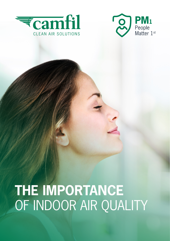



# **THE IMPORTANCE**  OF INDOOR AIR QUALITY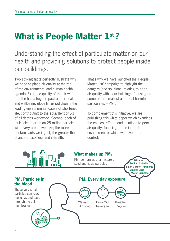## **What is People Matter 1st ?**

Understanding the effect of particulate matter on our health and providing solutions to protect people inside our buildings.

Two striking facts perfectly illustrate why we need to place air quality at the top of the environmental and human health agenda. First, the quality of the air we breathe has a huge impact on our health and wellbeing; globally, air pollution is the leading environmental cause of shortened life, contributing to the equivalent of 5% of all deaths worldwide. Second, each of us inhales more than 25 million particles with every breath we take; the more contaminants we ingest, the greater the chance of sickness and ill-health.

That's why we have launched the 'People Matter 1st' campaign to highlight the dangers (and solutions) relating to poor air quality within our buildings, focusing on some of the smallest and most harmful particulates –  $PM<sub>1</sub>$ .

To complement this initiative, we are publishing this white paper which examines the causes, effects and solutions to poor air quality, focusing on the internal environment of which we have more control.

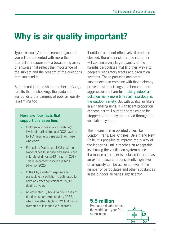# **Why is air quality important?**

Type 'air quality' into a search engine and you will be presented with more than four billion responses – a bewildering array of answers that reflect the importance of the subject and the breadth of the questions that surround it.

But it is not just the sheer number of Google results that is shocking; the evidence surrounding the dangers of poor air quality is alarming too.

#### **Here are four facts that support this assertion:**

- Children who live in areas with high levels of particulates and NO2 have up to 10% less lung capacity than those who don't.
- Particulate Matter and NO2 cost the National health service and social care in England almost £43 million in 2017. This is expected to increase to£1.6 billion by 2025.
- In the UK, long-term exposure to particulate air pollution is estimated to have an effect equivalent to 29,000 deaths a year.
- An estimated 1,327,424 new cases of the disease are predicted by 2035, which are attributable to PM that has a diameter of less than 2.5 microns.

If outdoor air is not effectively filtered and cleaned, there is a risk that the indoor air will contain a very large quantity of the harmful particulates that find their way into people's respiratory tracts and circulation systems. These particles and other substances can combine with those already present inside buildings and become more aggressive and harmful, making indoor air pollution many more times as hazardous as the outdoor variety. But with quality air filters in air handling units, a significant proportion of these harmful outdoor particles can be stopped before they are spread through the ventilation system.

This means that in polluted cities like London, Paris, Los Angeles, Beijing and New Delhi, it is possible to improve the quality of the indoor air until it reaches an acceptable level using the ventilation system alone. If a mobile air purifier is installed in rooms as an extra measure, a consistently high level of air quality can be achieved, even if the number of particulates and other substances in the outdoor air varies significantly.

#### **5.5 million**

Premature deaths around the world each year from air pollution

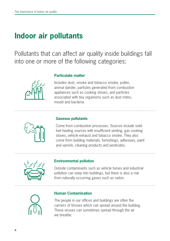### **Indoor air pollutants**

Pollutants that can affect air quality inside buildings fall into one or more of the following categories:



#### **Particulate matter**

Includes dust, smoke and tobacco smoke, pollen, animal dander, particles generated from combustion appliances such as cooking stoves, and particles associated with tiny organisms such as dust mites, mould and bacteria.



#### **Gaseous pollutants**

Come from combustion processes. Sources include solid fuel heating sources with insufficient venting, gas cooking stoves, vehicle exhaust and tobacco smoke. They also come from building materials, furnishings, adhesives, paint and varnish, cleaning products and pesticides.



#### **Environmental pollution**

Outside contaminants such as vehicle fumes and industrial pollution can seep into buildings, but there is also a risk from naturally occurring gases such as radon.



#### **Human Contamination**

The people in our offices and buildings are often the carriers of Viruses which can spread around the building. These viruses can sometimes spread through the air we breathe.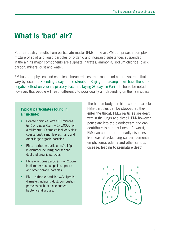### **What is 'bad' air?**

Poor air quality results from particulate matter (PM) in the air. PM comprises a complex mixture of solid and liquid particles of organic and inorganic substances suspended in the air. Its major components are sulphate, nitrates, ammonia, sodium chloride, black carbon, mineral dust and water.

PM has both physical and chemical characteristics, man-made and natural sources that vary by location. Spending a day on the streets of Beijing, for example, will have the same negative effect on your respiratory tract as staying 30 days in Paris. It should be noted, however, that people will react differently to poor quality air, depending on their sensitivity.

#### **Typical particulates found in air include:**

- Coarse particles, often 10 microns (μm) or bigger ( $1 \mu m = 1/1,000$ th of a millimetre). Examples include visible coarse dust, sand, leaves, hairs and other large organic particles.
- $PM_{10}$  airborne particles =/< 10 $\mu$ m in diameter including coarser fine dust and organic particles.
- $PM_{2.5}$  airborne particles =/< 2.5um in diameter such as pollen, spoors and other organic particles.
- $PM_1$  airborne particles =/< 1 $\mu$ m in diameter, including dust, combustion particles such as diesel fumes, bacteria and viruses.

The human body can filter coarse particles. PM<sub>10</sub> particles can be stopped as they enter the throat. PM2.5 particles are dealt with in the lungs and alveoli. PM<sub>1</sub> however, penetrate into the bloodstream and can contribute to serious illness. At worst, PM<sub>1</sub> can contribute to deadly diseases like heart attacks, lung cancer, dementia, emphysema, edema and other serious disease, leading to premature death.

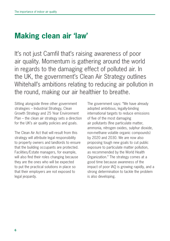### **Making clean air 'law'**

It's not just Camfil that's raising awareness of poor air quality. Momentum is gathering around the world in regards to the damaging effect of polluted air. In the UK, the government's Clean Air Strategy outlines Whitehall's ambitions relating to reducing air pollution in the round, making our air healthier to breathe.

Sitting alongside three other government strategies – Industrial Strategy, Clean Growth Strategy and 25 Year Environment Plan – the clean air strategy sets a direction for the UK's air quality policies and goals.

The Clean Air Act that will result from this strategy will attribute legal responsibility to property owners and landlords to ensure that the building occupants are protected. Facilities/Estate managers, for example, will also find their roles changing because they are the ones who will be expected to put the practical solutions in place so that their employers are not exposed to legal jeopardy.

The government says: "We have already adopted ambitious, legally-binding international targets to reduce emissions of five of the most damaging air pollutants (fine particulate matter, ammonia, nitrogen oxides, sulphur dioxide, non-methane volatile organic compounds) by 2020 and 2030. We are now also proposing tough new goals to cut public exposure to particulate matter pollution, as recommended by the World Health Organization." The strategy comes at a good time because awareness of the impact of poor IAQ is growing rapidly, and a strong determination to tackle the problem is also developing.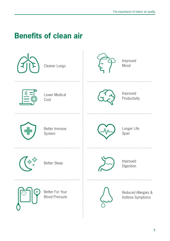### **Benefits of clean air**

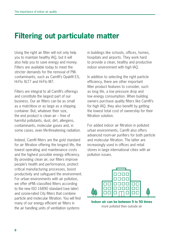### **Filtering out particulate matter**

Using the right air filter will not only help you to maintain healthy IAQ, but it will also help you to save energy and money. Filters are available today to meet the stricter demands for the removal of PM1 contaminants, such as Camfil's Opakfil ES, Hi-Flo XLT7 and Hi-Flo M7.

Filters are integral to all Camfil's offerings and constitute the largest part of our business. Our air filters can be as small as a matchbox or as large as a shipping container. But, whatever their size, the end product is clean air – free of harmful pollutants, dust, dirt, allergens, contaminants, molecular gases and, in some cases, even life-threatening radiation.

Indeed, Camfil filters are the gold standard for air filtration offering the longest life, the lowest operating and maintenance costs and the highest possible energy efficiency. By providing clean air, our filters improve people's health and performance, protect critical manufacturing processes, boost productivity and safeguard the environment. For urban environments with air pollution, we offer ePM1-classified filters according to the new ISO 16890 standard (see later) and ozone-rated City filters that combine particle and molecular filtration. You will find many of our energy efficient air filters in the air handling units of ventilation systems

in buildings like schools, offices, homes, hospitals and airports. They work hard to provide a clean, healthy and productive indoor environment with high IAQ.

In addition to selecting the right particle efficiency, there are other important filter product features to consider, such as long life, a low pressure drop and low energy consumption. When building owners purchase quality filters like Camfil's for high IAQ, they also benefit by getting the lowest total cost of ownership for their filtration solution.

For added indoor air filtration in polluted urban environments, Camfil also offers advanced room-air purifiers for both particle and molecular filtration. The latter are increasingly used in offices and retail stores in large international cities with air pollution issues.



**Indoor air can be between 5 to 50 times**  more polluted then outside air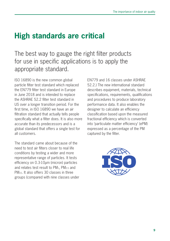### **High standards are critical**

### The best way to gauge the right filter products for use in specific applications is to apply the appropriate standard.

ISO 16890 is the new common global particle filter test standard which replaced the EN779 filter test standard in Europe in June 2018 and is intended to replace the ASHRAE 52.2 filter test standard in US over a longer transition period. For the first time, in ISO 16890 we have an air filtration standard that actually tells people specifically what a filter does. It is also more accurate than its predecessors and is a global standard that offers a single test for all customers.

The standard came about because of the need to test air filters closer to real life conditions by testing a wider and more representative range of particles. It tests efficiency on 0.3-10μm (micron) particles and relates test result to PM1, PM2.5 and PM10. It also offers 30 classes in three groups (compared with nine classes under

EN779 and 16 classes under ASHRAE 52.2.) The new international standard describes equipment, materials, technical specifications, requirements, qualifications and procedures to produce laboratory performance data. It also enables the designer to calculate an efficiency classification based upon the measured fractional efficiency which is converted into 'particulate matter efficiency' (ePM) expressed as a percentage of the PM captured by the filter.

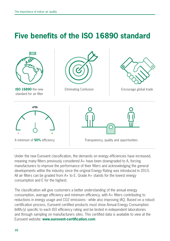### **Five benefits of the ISO 16890 standard**



Under the new Eurovent classification, the demands on energy efficiencies have increased, meaning many filters previously considered A+ have been downgraded to A, forcing manufacturers to improve the performance of their filters and acknowledging the general developments within the industry since the original Energy Rating was introduced in 2015. All air filters can be graded from A+ to E. Grade A+ stands for the lowest energy consumption and E for the highest.

The classification will give customers a better understanding of the annual energy consumption, average efficiency and minimum efficiency, with A+ filters contributing to reductions in energy usage and CO2 emissions - while also improving IAQ. Based on a robust certification process, Eurovent certified products must show Annual Energy Consumption (kWh/y) specific to each ISO efficiency rating and be tested in independent laboratories and through sampling on manufacturers sites. This certified data is available to view at the Eurovent website: **www.eurovent-certification.com**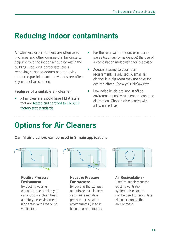### **Reducing indoor contaminants**

Air Cleaners or Air Purifiers are often used in offices and other commercial buildings to help improve the indoor air quality within the building. Reducing particulate levels, removing nuisance odours and removing airbourne particles such as viruses are often key uses of air cleaners

#### **Features of a suitable air cleaner**

All air cleaners should have HEPA filters that are tested and certified to EN1822 factory test standards

- For the removal of odours or nuisance gases (such as formaldehyde) the use of a combination molecular filter is advised
- Adequate sizing to your room requirements is advised. A small air cleaner in a big room may not have the desired affect. Know your airflow rate
- Low noise levels are key. In office environments noisy air cleaners can be a distraction. Choose air cleaners with a low noise level

### **Options for Air Cleaners**

**Camfil air cleaners can be used in 3 main applications**



**Positive Pressure Environment -** 

By ducting your air cleaner to the outside you can introduce clean fresh air into your environment (For areas with little or no ventilation).



#### **Negative Pressure Environment -**

By ducting the exhaust air outside, air cleaners can create negative pressure or isolation environments (Used in hospital environments.



#### **Air Recirculation -**

Used to supplement the existing ventilation system, air cleaners can be used to recirculate clean air around the environment.